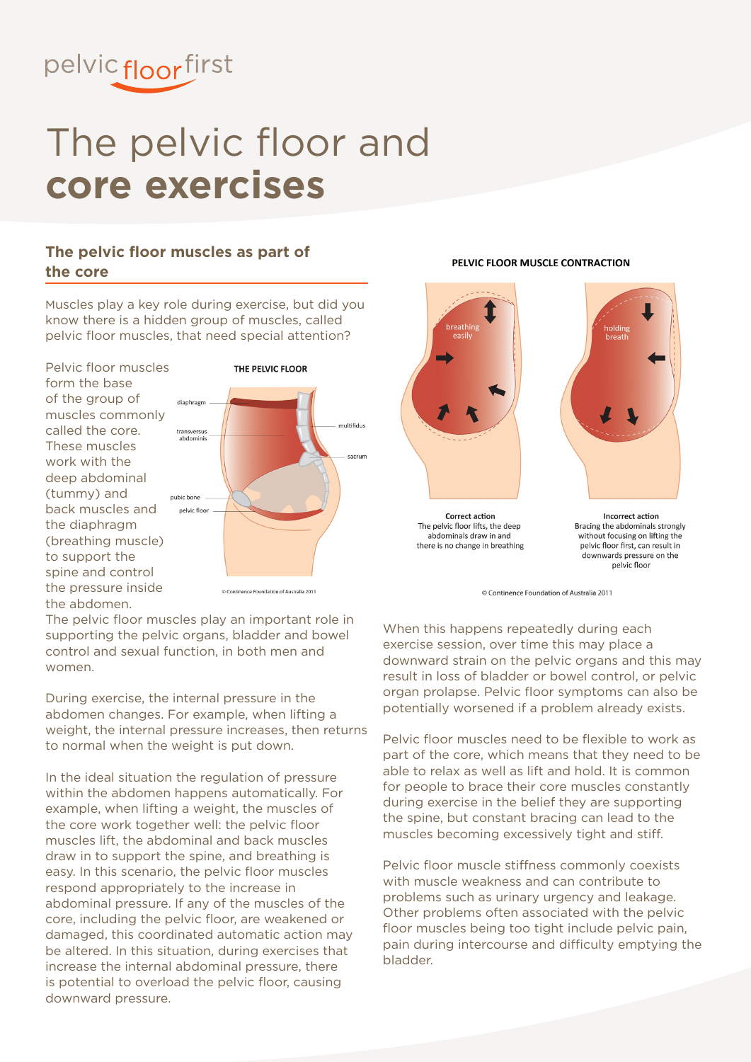

## The pelvic floor and **core exercises**

#### **The pelvic floor muscles as part of the core**

Muscles play a key role during exercise, but did you know there is a hidden group of muscles, called pelvic floor muscles, that need special attention?

Pelvic floor muscles form the base of the group of muscles commonly called the core. These muscles work with the deep abdominal (tummy) and back muscles and the diaphragm (breathing muscle) to support the spine and control the pressure inside the abdomen.



The pelvic floor muscles play an important role in supporting the pelvic organs, bladder and bowel control and sexual function, in both men and women.

During exercise, the internal pressure in the abdomen changes. For example, when lifting a weight, the internal pressure increases, then returns to normal when the weight is put down.

In the ideal situation the regulation of pressure within the abdomen happens automatically. For example, when lifting a weight, the muscles of the core work together well: the pelvic floor muscles lift, the abdominal and back muscles draw in to support the spine, and breathing is easy. In this scenario, the pelvic floor muscles respond appropriately to the increase in abdominal pressure. If any of the muscles of the core, including the pelvic floor, are weakened or damaged, this coordinated automatic action may be altered. In this situation, during exercises that increase the internal abdominal pressure, there is potential to overload the pelvic floor, causing downward pressure.

#### PELVIC FLOOR MUSCLE CONTRACTION



**Correct action** The pelvic floor lifts, the deep abdominals draw in and there is no change in breathing



**Incorrect action** Bracing the abdominals strongly without focusing on lifting the pelvic floor first, can result in downwards pressure on the pelvic floor

© Continence Foundation of Australia 2011

When this happens repeatedly during each exercise session, over time this may place a downward strain on the pelvic organs and this may result in loss of bladder or bowel control, or pelvic organ prolapse. Pelvic floor symptoms can also be potentially worsened if a problem already exists.

Pelvic floor muscles need to be flexible to work as part of the core, which means that they need to be able to relax as well as lift and hold. It is common for people to brace their core muscles constantly during exercise in the belief they are supporting the spine, but constant bracing can lead to the muscles becoming excessively tight and stiff.

Pelvic floor muscle stiffness commonly coexists with muscle weakness and can contribute to problems such as urinary urgency and leakage. Other problems often associated with the pelvic floor muscles being too tight include pelvic pain, pain during intercourse and difficulty emptying the bladder.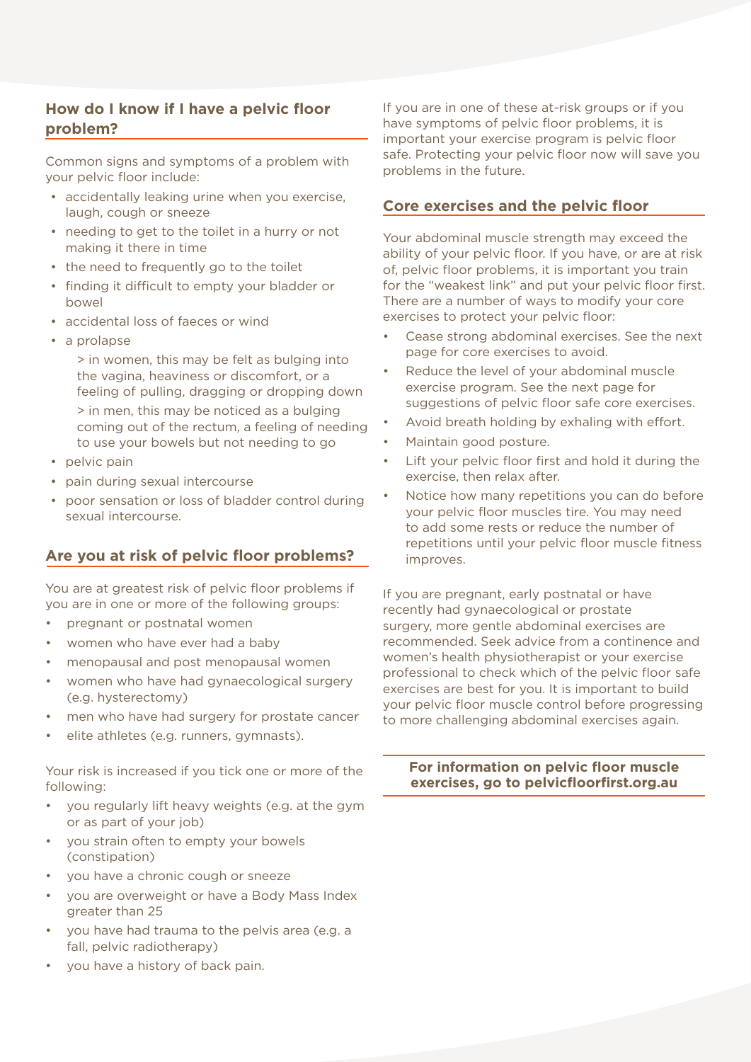#### **How do I know if I have a pelvic floor problem?**

Common signs and symptoms of a problem with your pelvic floor include:

- • accidentally leaking urine when you exercise, laugh, cough or sneeze
- needing to get to the toilet in a hurry or not making it there in time
- the need to frequently go to the toilet
- finding it difficult to empty your bladder or bowel
- accidental loss of faeces or wind
- • a prolapse

> in women, this may be felt as bulging into the vagina, heaviness or discomfort, or a feeling of pulling, dragging or dropping down > in men, this may be noticed as a bulging coming out of the rectum, a feeling of needing to use your bowels but not needing to go

- pelvic pain
- pain during sexual intercourse
- poor sensation or loss of bladder control during sexual intercourse.

#### **Are you at risk of pelvic floor problems?**

You are at greatest risk of pelvic floor problems if you are in one or more of the following groups:

- pregnant or postnatal women
- women who have ever had a baby
- menopausal and post menopausal women
- women who have had gynaecological surgery (e.g. hysterectomy)
- men who have had surgery for prostate cancer
- elite athletes (e.g. runners, gymnasts).

Your risk is increased if you tick one or more of the following:

- you regularly lift heavy weights (e.g. at the gym or as part of your job)
- you strain often to empty your bowels (constipation)
- vou have a chronic cough or sneeze
- you are overweight or have a Body Mass Index greater than 25
- you have had trauma to the pelvis area (e.g. a fall, pelvic radiotherapy)
- you have a history of back pain.

If you are in one of these at-risk groups or if you have symptoms of pelvic floor problems, it is important your exercise program is pelvic floor safe. Protecting your pelvic floor now will save you problems in the future.

#### **Core exercises and the pelvic floor**

Your abdominal muscle strength may exceed the ability of your pelvic floor. If you have, or are at risk of, pelvic floor problems, it is important you train for the "weakest link" and put your pelvic floor first. There are a number of ways to modify your core exercises to protect your pelvic floor:

- Cease strong abdominal exercises. See the next page for core exercises to avoid.
- Reduce the level of your abdominal muscle exercise program. See the next page for suggestions of pelvic floor safe core exercises.
- Avoid breath holding by exhaling with effort.
- Maintain good posture.
- Lift your pelvic floor first and hold it during the exercise, then relax after.
- Notice how many repetitions you can do before your pelvic floor muscles tire. You may need to add some rests or reduce the number of repetitions until your pelvic floor muscle fitness improves.

If you are pregnant, early postnatal or have recently had gynaecological or prostate surgery, more gentle abdominal exercises are recommended. Seek advice from a continence and women's health physiotherapist or your exercise professional to check which of the pelvic floor safe exercises are best for you. It is important to build your pelvic floor muscle control before progressing to more challenging abdominal exercises again.

#### **For information on pelvic floor muscle exercises, go to pelvicfloorfirst.org.au**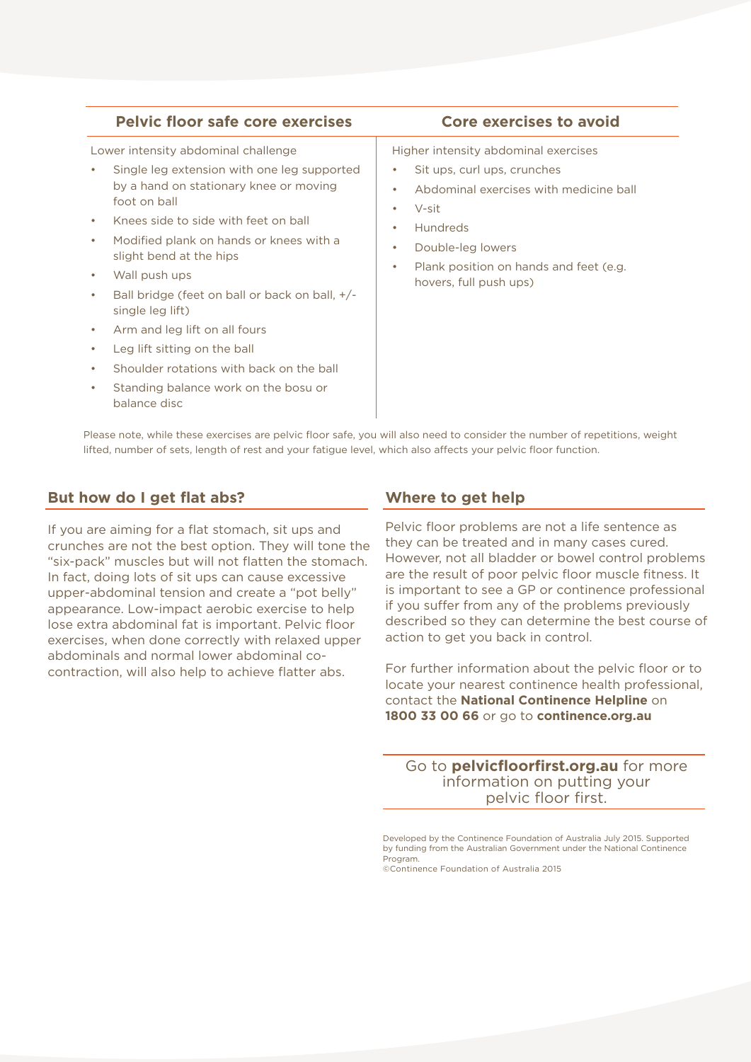#### **Pelvic floor safe core exercises Core exercises to avoid**

Lower intensity abdominal challenge

- Single leg extension with one leg supported by a hand on stationary knee or moving foot on ball
- Knees side to side with feet on ball
- Modified plank on hands or knees with a slight bend at the hips
- Wall push ups
- Ball bridge (feet on ball or back on ball,  $+/$ single leg lift)
- Arm and leg lift on all fours
- Leg lift sitting on the ball
- Shoulder rotations with back on the ball
- Standing balance work on the bosu or balance disc

Higher intensity abdominal exercises

- Sit ups, curl ups, crunches
- Abdominal exercises with medicine ball
- $V-cit$
- **Hundreds**
- Double-leg lowers
- Plank position on hands and feet (e.g. hovers, full push ups)

Please note, while these exercises are pelvic floor safe, you will also need to consider the number of repetitions, weight lifted, number of sets, length of rest and your fatigue level, which also affects your pelvic floor function.

#### **But how do I get flat abs?**

If you are aiming for a flat stomach, sit ups and crunches are not the best option. They will tone the "six-pack" muscles but will not flatten the stomach. In fact, doing lots of sit ups can cause excessive upper-abdominal tension and create a "pot belly" appearance. Low-impact aerobic exercise to help lose extra abdominal fat is important. Pelvic floor exercises, when done correctly with relaxed upper abdominals and normal lower abdominal cocontraction, will also help to achieve flatter abs.

#### **Where to get help**

Pelvic floor problems are not a life sentence as they can be treated and in many cases cured. However, not all bladder or bowel control problems are the result of poor pelvic floor muscle fitness. It is important to see a GP or continence professional if you suffer from any of the problems previously described so they can determine the best course of action to get you back in control.

For further information about the pelvic floor or to locate your nearest continence health professional, contact the **National Continence Helpline** on **1800 33 00 66** or go to **continence.org.au**

Go to **pelvicfloorfirst.org.au** for more information on putting your pelvic floor first.

Developed by the Continence Foundation of Australia July 2015. Supported by funding from the Australian Government under the National Continence Program.

©Continence Foundation of Australia 2015